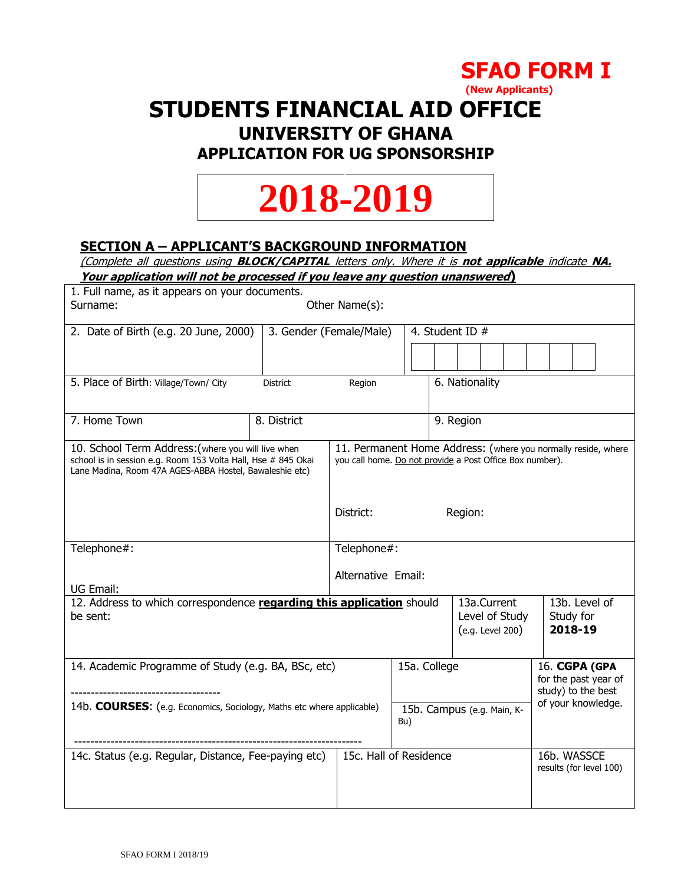

 **(New Applicants)**

## **STUDENTS FINANCIAL AID OFFICE UNIVERSITY OF GHANA**

# **APPLICATION FOR UG SPONSORSHIP**

# **2018-2019**

## **SECTION A – APPLICANT'S BACKGROUND INFORMATION**

(Complete all questions using **BLOCK/CAPITAL** letters only. Where it is **not applicable** indicate **NA.**

**Your application will not be processed if you leave any question unanswered)**

| 1. Full name, as it appears on your documents.<br>Surname:<br>Other Name(s):                                                                                                   |                         |                                                                                                                           |                                                             |                                                   |                                        |
|--------------------------------------------------------------------------------------------------------------------------------------------------------------------------------|-------------------------|---------------------------------------------------------------------------------------------------------------------------|-------------------------------------------------------------|---------------------------------------------------|----------------------------------------|
|                                                                                                                                                                                |                         |                                                                                                                           |                                                             |                                                   |                                        |
| 2. Date of Birth (e.g. 20 June, 2000)                                                                                                                                          | 3. Gender (Female/Male) |                                                                                                                           |                                                             | 4. Student ID #                                   |                                        |
|                                                                                                                                                                                |                         |                                                                                                                           |                                                             |                                                   |                                        |
| 5. Place of Birth: Village/Town/ City                                                                                                                                          | <b>District</b>         | Region                                                                                                                    |                                                             | 6. Nationality                                    |                                        |
| 7. Home Town                                                                                                                                                                   | 8. District             |                                                                                                                           |                                                             | 9. Region                                         |                                        |
| 10. School Term Address: (where you will live when<br>school is in session e.g. Room 153 Volta Hall, Hse # 845 Okai<br>Lane Madina, Room 47A AGES-ABBA Hostel, Bawaleshie etc) |                         | 11. Permanent Home Address: (where you normally reside, where<br>you call home. Do not provide a Post Office Box number). |                                                             |                                                   |                                        |
|                                                                                                                                                                                |                         | District:                                                                                                                 |                                                             | Region:                                           |                                        |
| Telephone#:                                                                                                                                                                    |                         | Telephone#:                                                                                                               |                                                             |                                                   |                                        |
| UG Email:                                                                                                                                                                      |                         | Alternative Email:                                                                                                        |                                                             |                                                   |                                        |
| 12. Address to which correspondence regarding this application should<br>be sent:                                                                                              |                         |                                                                                                                           |                                                             | 13a.Current<br>Level of Study<br>(e.g. Level 200) | 13b. Level of<br>Study for<br>2018-19  |
| 14. Academic Programme of Study (e.g. BA, BSc, etc)<br>15a. College                                                                                                            |                         |                                                                                                                           | 16. CGPA (GPA<br>for the past year of<br>study) to the best |                                                   |                                        |
| 14b. COURSES: (e.g. Economics, Sociology, Maths etc where applicable)                                                                                                          |                         |                                                                                                                           | Bu)                                                         | 15b. Campus (e.g. Main, K-                        | of your knowledge.                     |
| 14c. Status (e.g. Regular, Distance, Fee-paying etc)                                                                                                                           |                         |                                                                                                                           | 15c. Hall of Residence                                      |                                                   | 16b. WASSCE<br>results (for level 100) |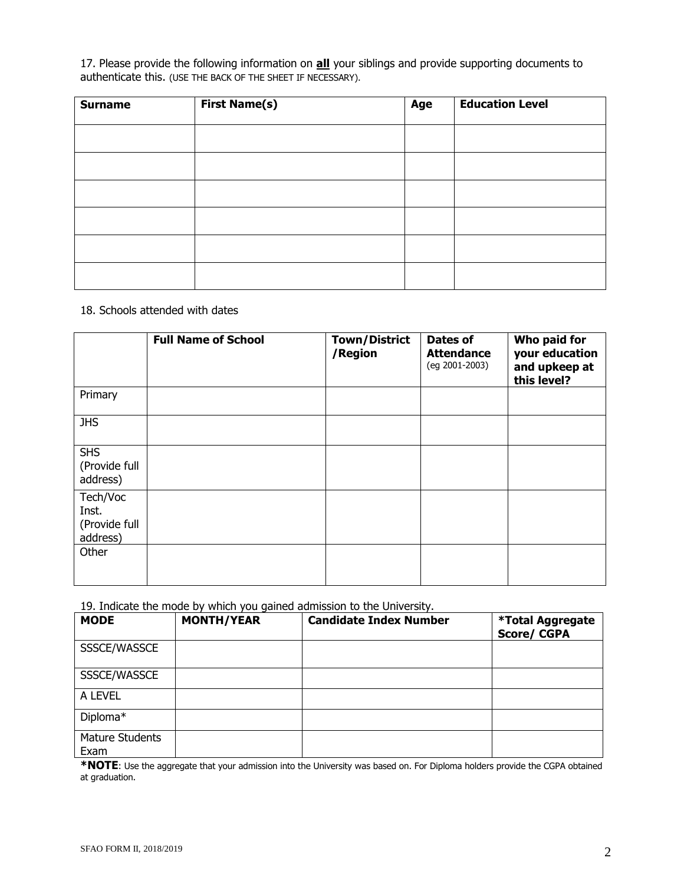17. Please provide the following information on **all** your siblings and provide supporting documents to authenticate this. (USE THE BACK OF THE SHEET IF NECESSARY).

| <b>Surname</b> | <b>First Name(s)</b> | Age | <b>Education Level</b> |
|----------------|----------------------|-----|------------------------|
|                |                      |     |                        |
|                |                      |     |                        |
|                |                      |     |                        |
|                |                      |     |                        |
|                |                      |     |                        |
|                |                      |     |                        |

#### 18. Schools attended with dates

|                                                | <b>Full Name of School</b> | <b>Town/District</b><br>/Region | Dates of<br><b>Attendance</b><br>(eg 2001-2003) | Who paid for<br>your education<br>and upkeep at<br>this level? |
|------------------------------------------------|----------------------------|---------------------------------|-------------------------------------------------|----------------------------------------------------------------|
| Primary                                        |                            |                                 |                                                 |                                                                |
| <b>JHS</b>                                     |                            |                                 |                                                 |                                                                |
| <b>SHS</b><br>(Provide full<br>address)        |                            |                                 |                                                 |                                                                |
| Tech/Voc<br>Inst.<br>(Provide full<br>address) |                            |                                 |                                                 |                                                                |
| Other                                          |                            |                                 |                                                 |                                                                |

19. Indicate the mode by which you gained admission to the University.

| <b>MODE</b>             | <b>MONTH/YEAR</b> | <b>Candidate Index Number</b> | <b>*Total Aggregate</b><br><b>Score/CGPA</b> |
|-------------------------|-------------------|-------------------------------|----------------------------------------------|
| SSSCE/WASSCE            |                   |                               |                                              |
| SSSCE/WASSCE            |                   |                               |                                              |
| A LEVEL                 |                   |                               |                                              |
| Diploma*                |                   |                               |                                              |
| Mature Students<br>Exam |                   |                               |                                              |

**\*NOTE**: Use the aggregate that your admission into the University was based on. For Diploma holders provide the CGPA obtained at graduation.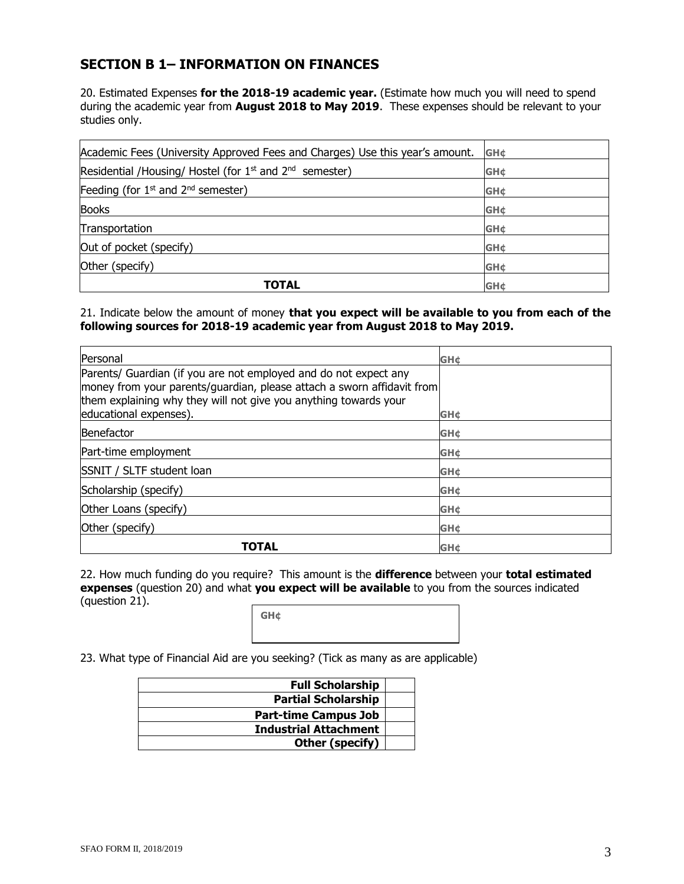### **SECTION B 1– INFORMATION ON FINANCES**

20. Estimated Expenses **for the 2018-19 academic year.** (Estimate how much you will need to spend during the academic year from **August 2018 to May 2019**. These expenses should be relevant to your studies only.

| Academic Fees (University Approved Fees and Charges) Use this year's amount. | <b>GH¢</b>  |
|------------------------------------------------------------------------------|-------------|
| Residential /Housing/ Hostel (for $1st$ and $2nd$ semester)                  | <b>GH¢</b>  |
| Feeding (for $1st$ and $2nd$ semester)                                       | <b>GH¢</b>  |
| <b>Books</b>                                                                 | <b>GH¢</b>  |
| Transportation                                                               | <b>GH¢</b>  |
| Out of pocket (specify)                                                      | <b>GH¢</b>  |
| Other (specify)                                                              | <b>GH¢</b>  |
| TOTAL                                                                        | <b>GH</b> ¢ |

21. Indicate below the amount of money **that you expect will be available to you from each of the following sources for 2018-19 academic year from August 2018 to May 2019.**

| Personal                                                                                                                                                                                                                                 | <b>GH</b> ¢ |
|------------------------------------------------------------------------------------------------------------------------------------------------------------------------------------------------------------------------------------------|-------------|
| Parents/ Guardian (if you are not employed and do not expect any<br>money from your parents/guardian, please attach a sworn affidavit from<br>them explaining why they will not give you anything towards your<br>educational expenses). | <b>GH¢</b>  |
|                                                                                                                                                                                                                                          |             |
| Benefactor                                                                                                                                                                                                                               | <b>GH¢</b>  |
| Part-time employment                                                                                                                                                                                                                     | <b>GH¢</b>  |
| SSNIT / SLTF student loan                                                                                                                                                                                                                | <b>GH¢</b>  |
| Scholarship (specify)                                                                                                                                                                                                                    | <b>GH¢</b>  |
| Other Loans (specify)                                                                                                                                                                                                                    | <b>GH¢</b>  |
| Other (specify)                                                                                                                                                                                                                          | <b>GH¢</b>  |
| TOTAL                                                                                                                                                                                                                                    | <b>GH¢</b>  |

22. How much funding do you require? This amount is the **difference** between your **total estimated expenses** (question 20) and what **you expect will be available** to you from the sources indicated (question 21).

**GH¢**

23. What type of Financial Aid are you seeking? (Tick as many as are applicable)

| <b>Full Scholarship</b>      |  |
|------------------------------|--|
| <b>Partial Scholarship</b>   |  |
| <b>Part-time Campus Job</b>  |  |
| <b>Industrial Attachment</b> |  |
| Other (specify)              |  |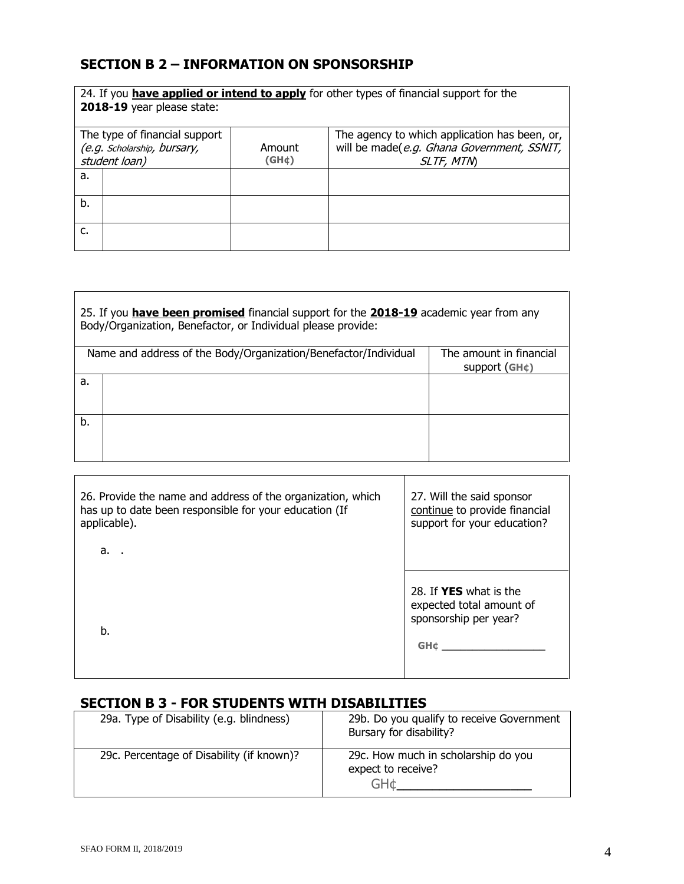## **SECTION B 2 – INFORMATION ON SPONSORSHIP**

| 24. If you have applied or intend to apply for other types of financial support for the<br>2018-19 year please state: |                 |                                                                                                          |
|-----------------------------------------------------------------------------------------------------------------------|-----------------|----------------------------------------------------------------------------------------------------------|
| The type of financial support<br>(e.g. Scholarship, bursary,<br>student loan)                                         | Amount<br>(GH¢) | The agency to which application has been, or,<br>will be made(e.g. Ghana Government, SSNIT,<br>SLTF, MTN |
| a.                                                                                                                    |                 |                                                                                                          |
| b.                                                                                                                    |                 |                                                                                                          |
| c.                                                                                                                    |                 |                                                                                                          |

| 25. If you have been promised financial support for the <b>2018-19</b> academic year from any<br>Body/Organization, Benefactor, or Individual please provide: |                                                                 |                                                      |
|---------------------------------------------------------------------------------------------------------------------------------------------------------------|-----------------------------------------------------------------|------------------------------------------------------|
|                                                                                                                                                               | Name and address of the Body/Organization/Benefactor/Individual | The amount in financial<br>support(GH <sub>¢</sub> ) |
| a.                                                                                                                                                            |                                                                 |                                                      |
| b.                                                                                                                                                            |                                                                 |                                                      |

| 26. Provide the name and address of the organization, which<br>has up to date been responsible for your education (If<br>applicable). | 27. Will the said sponsor<br>continue to provide financial<br>support for your education? |
|---------------------------------------------------------------------------------------------------------------------------------------|-------------------------------------------------------------------------------------------|
| a. .                                                                                                                                  |                                                                                           |
| b.                                                                                                                                    | 28. If YES what is the<br>expected total amount of<br>sponsorship per year?<br><b>GH¢</b> |

## **SECTION B 3 - FOR STUDENTS WITH DISABILITIES**

| 29a. Type of Disability (e.g. blindness)  | 29b. Do you qualify to receive Government<br>Bursary for disability? |
|-------------------------------------------|----------------------------------------------------------------------|
| 29c. Percentage of Disability (if known)? | 29c. How much in scholarship do you<br>expect to receive?<br>GH+     |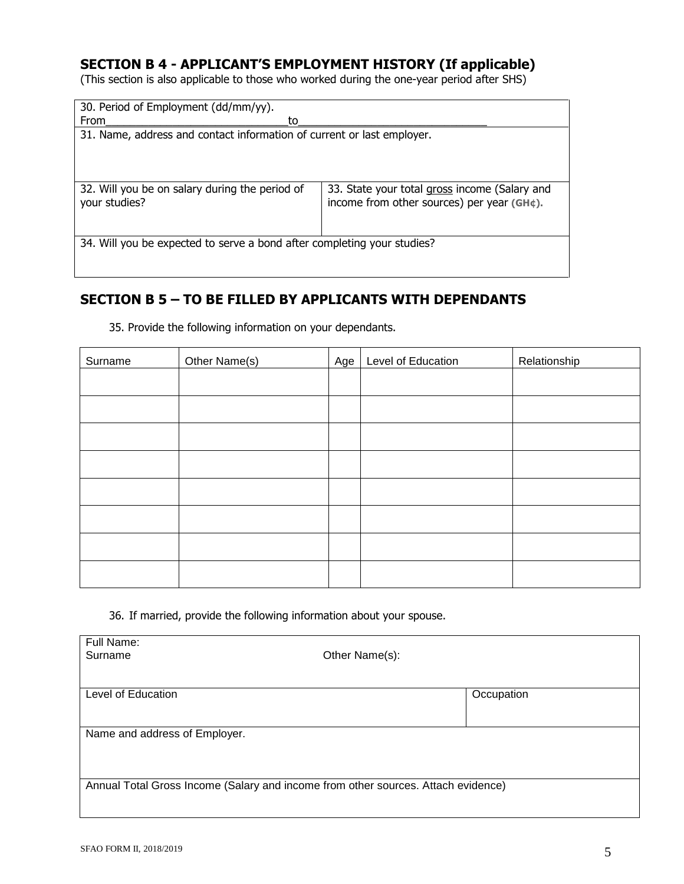## **SECTION B 4 - APPLICANT'S EMPLOYMENT HISTORY (If applicable)**

(This section is also applicable to those who worked during the one-year period after SHS)

| 30. Period of Employment (dd/mm/yy).                                    |                                                                                             |  |
|-------------------------------------------------------------------------|---------------------------------------------------------------------------------------------|--|
| From<br>to                                                              |                                                                                             |  |
| 31. Name, address and contact information of current or last employer.  |                                                                                             |  |
|                                                                         |                                                                                             |  |
|                                                                         |                                                                                             |  |
|                                                                         |                                                                                             |  |
| 32. Will you be on salary during the period of<br>your studies?         | 33. State your total gross income (Salary and<br>income from other sources) per year (GH¢). |  |
|                                                                         |                                                                                             |  |
| 34. Will you be expected to serve a bond after completing your studies? |                                                                                             |  |
|                                                                         |                                                                                             |  |
|                                                                         |                                                                                             |  |

## **SECTION B 5 – TO BE FILLED BY APPLICANTS WITH DEPENDANTS**

| Surname | Other Name(s) | Age | Level of Education | Relationship |
|---------|---------------|-----|--------------------|--------------|
|         |               |     |                    |              |
|         |               |     |                    |              |
|         |               |     |                    |              |
|         |               |     |                    |              |
|         |               |     |                    |              |
|         |               |     |                    |              |
|         |               |     |                    |              |
|         |               |     |                    |              |

35. Provide the following information on your dependants.

36. If married, provide the following information about your spouse.

| Full Name:                                                                        |                |            |  |  |  |
|-----------------------------------------------------------------------------------|----------------|------------|--|--|--|
| Surname                                                                           | Other Name(s): |            |  |  |  |
|                                                                                   |                |            |  |  |  |
| Level of Education                                                                |                |            |  |  |  |
|                                                                                   |                | Occupation |  |  |  |
|                                                                                   |                |            |  |  |  |
| Name and address of Employer.                                                     |                |            |  |  |  |
|                                                                                   |                |            |  |  |  |
|                                                                                   |                |            |  |  |  |
|                                                                                   |                |            |  |  |  |
| Annual Total Gross Income (Salary and income from other sources. Attach evidence) |                |            |  |  |  |
|                                                                                   |                |            |  |  |  |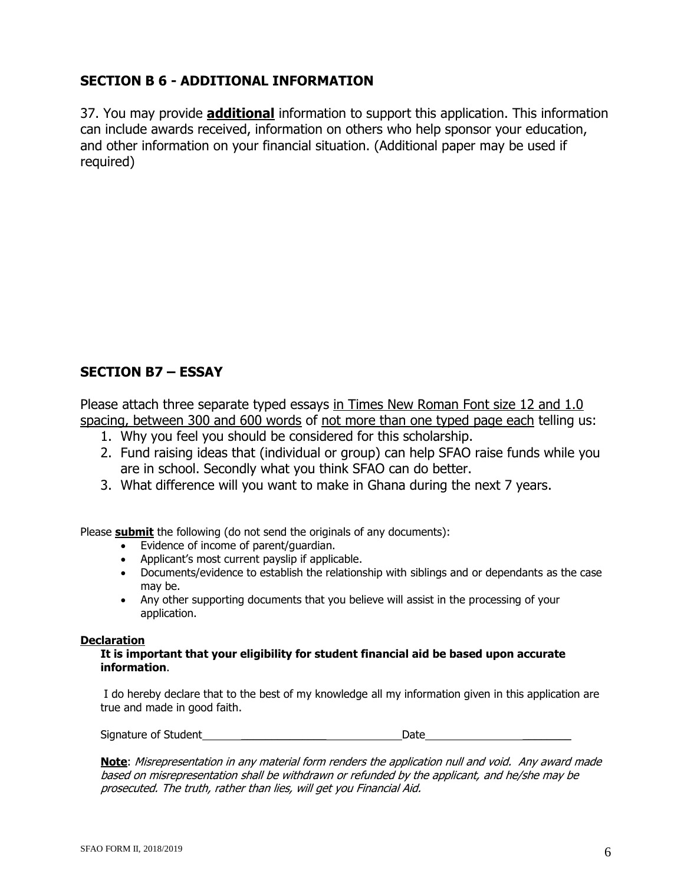## **SECTION B 6 - ADDITIONAL INFORMATION**

37. You may provide **additional** information to support this application. This information can include awards received, information on others who help sponsor your education, and other information on your financial situation. (Additional paper may be used if required)

## **SECTION B7 – ESSAY**

Please attach three separate typed essays in Times New Roman Font size 12 and 1.0 spacing, between 300 and 600 words of not more than one typed page each telling us:

- 1. Why you feel you should be considered for this scholarship.
- 2. Fund raising ideas that (individual or group) can help SFAO raise funds while you are in school. Secondly what you think SFAO can do better.
- 3. What difference will you want to make in Ghana during the next 7 years.

Please **submit** the following (do not send the originals of any documents):

- Evidence of income of parent/guardian.
- Applicant's most current payslip if applicable.
- Documents/evidence to establish the relationship with siblings and or dependants as the case may be.
- Any other supporting documents that you believe will assist in the processing of your application.

#### **Declaration**

#### **It is important that your eligibility for student financial aid be based upon accurate information**.

I do hereby declare that to the best of my knowledge all my information given in this application are true and made in good faith.

Signature of Student **Exercise Student** and the Date Date Date  $\alpha$ 

**Note**: Misrepresentation in any material form renders the application null and void. Any award made based on misrepresentation shall be withdrawn or refunded by the applicant, and he/she may be prosecuted. The truth, rather than lies, will get you Financial Aid.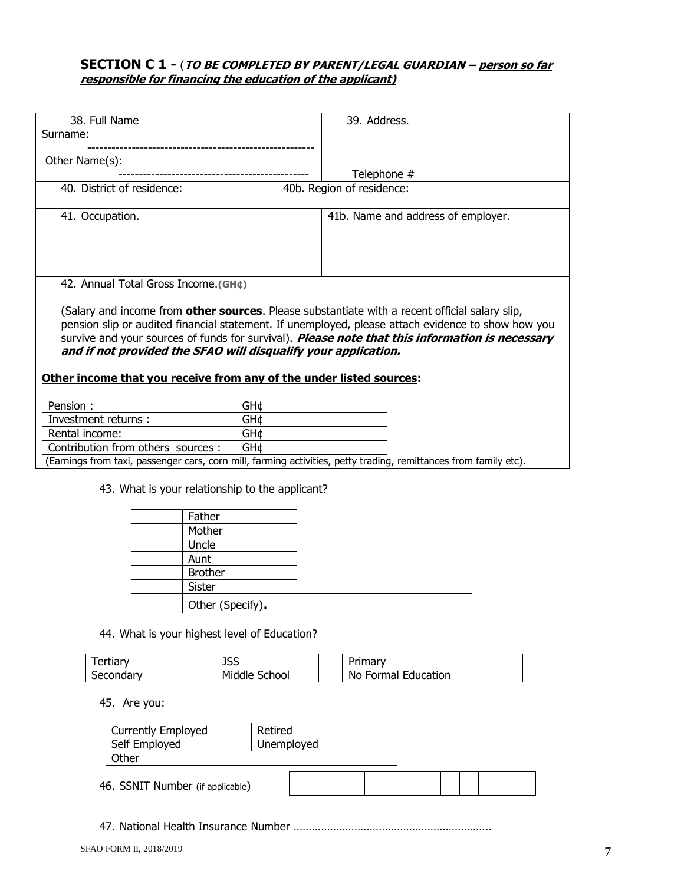#### **SECTION C 1 -** (**TO BE COMPLETED BY PARENT/LEGAL GUARDIAN – person so far responsible for financing the education of the applicant)**

|                            | 38. Full Name                                                                                                                                                            |                  |  |            |  |                                    | 39. Address. |  |  |  |  |  |
|----------------------------|--------------------------------------------------------------------------------------------------------------------------------------------------------------------------|------------------|--|------------|--|------------------------------------|--------------|--|--|--|--|--|
| Surname:                   |                                                                                                                                                                          |                  |  |            |  |                                    |              |  |  |  |  |  |
| Other Name(s):             |                                                                                                                                                                          |                  |  |            |  |                                    |              |  |  |  |  |  |
|                            |                                                                                                                                                                          |                  |  |            |  |                                    | Telephone #  |  |  |  |  |  |
|                            | 40. District of residence:                                                                                                                                               |                  |  |            |  | 40b. Region of residence:          |              |  |  |  |  |  |
|                            |                                                                                                                                                                          |                  |  |            |  |                                    |              |  |  |  |  |  |
| 41. Occupation.            |                                                                                                                                                                          |                  |  |            |  | 41b. Name and address of employer. |              |  |  |  |  |  |
|                            |                                                                                                                                                                          |                  |  |            |  |                                    |              |  |  |  |  |  |
|                            |                                                                                                                                                                          |                  |  |            |  |                                    |              |  |  |  |  |  |
|                            |                                                                                                                                                                          |                  |  |            |  |                                    |              |  |  |  |  |  |
|                            | 42. Annual Total Gross Income.(GH¢)                                                                                                                                      |                  |  |            |  |                                    |              |  |  |  |  |  |
|                            |                                                                                                                                                                          |                  |  |            |  |                                    |              |  |  |  |  |  |
|                            | (Salary and income from other sources. Please substantiate with a recent official salary slip,                                                                           |                  |  |            |  |                                    |              |  |  |  |  |  |
|                            | pension slip or audited financial statement. If unemployed, please attach evidence to show how you                                                                       |                  |  |            |  |                                    |              |  |  |  |  |  |
|                            | survive and your sources of funds for survival). <i>Please note that this information is necessary</i><br>and if not provided the SFAO will disqualify your application. |                  |  |            |  |                                    |              |  |  |  |  |  |
|                            |                                                                                                                                                                          |                  |  |            |  |                                    |              |  |  |  |  |  |
|                            | Other income that you receive from any of the under listed sources:                                                                                                      |                  |  |            |  |                                    |              |  |  |  |  |  |
|                            |                                                                                                                                                                          |                  |  |            |  |                                    |              |  |  |  |  |  |
| Pension :                  |                                                                                                                                                                          |                  |  | GH¢        |  |                                    |              |  |  |  |  |  |
|                            | Investment returns :                                                                                                                                                     |                  |  | GH¢        |  |                                    |              |  |  |  |  |  |
| Rental income:             |                                                                                                                                                                          |                  |  | GH¢        |  |                                    |              |  |  |  |  |  |
|                            | Contribution from others sources :                                                                                                                                       |                  |  | GH¢        |  |                                    |              |  |  |  |  |  |
|                            | (Earnings from taxi, passenger cars, corn mill, farming activities, petty trading, remittances from family etc).                                                         |                  |  |            |  |                                    |              |  |  |  |  |  |
|                            |                                                                                                                                                                          |                  |  |            |  |                                    |              |  |  |  |  |  |
|                            | 43. What is your relationship to the applicant?                                                                                                                          |                  |  |            |  |                                    |              |  |  |  |  |  |
|                            |                                                                                                                                                                          | Father           |  |            |  |                                    |              |  |  |  |  |  |
|                            |                                                                                                                                                                          | Mother           |  |            |  |                                    |              |  |  |  |  |  |
|                            |                                                                                                                                                                          | Uncle            |  |            |  |                                    |              |  |  |  |  |  |
|                            |                                                                                                                                                                          | Aunt             |  |            |  |                                    |              |  |  |  |  |  |
|                            |                                                                                                                                                                          | <b>Brother</b>   |  |            |  |                                    |              |  |  |  |  |  |
|                            |                                                                                                                                                                          | Sister           |  |            |  |                                    |              |  |  |  |  |  |
|                            |                                                                                                                                                                          | Other (Specify). |  |            |  |                                    |              |  |  |  |  |  |
|                            |                                                                                                                                                                          |                  |  |            |  |                                    |              |  |  |  |  |  |
|                            | 44. What is your highest level of Education?                                                                                                                             |                  |  |            |  |                                    |              |  |  |  |  |  |
|                            |                                                                                                                                                                          |                  |  |            |  |                                    |              |  |  |  |  |  |
|                            | <b>Tertiary</b><br><b>JSS</b>                                                                                                                                            |                  |  |            |  |                                    | Primary      |  |  |  |  |  |
| Middle School<br>Secondary |                                                                                                                                                                          |                  |  |            |  | No Formal Education                |              |  |  |  |  |  |
|                            |                                                                                                                                                                          |                  |  |            |  |                                    |              |  |  |  |  |  |
|                            | 45. Are you:                                                                                                                                                             |                  |  |            |  |                                    |              |  |  |  |  |  |
|                            | <b>Currently Employed</b><br>Retired                                                                                                                                     |                  |  |            |  |                                    |              |  |  |  |  |  |
|                            | Self Employed                                                                                                                                                            |                  |  | Unemployed |  |                                    |              |  |  |  |  |  |
|                            | Other                                                                                                                                                                    |                  |  |            |  |                                    |              |  |  |  |  |  |
|                            |                                                                                                                                                                          |                  |  |            |  |                                    |              |  |  |  |  |  |
|                            | 46. SSNIT Number (if applicable)                                                                                                                                         |                  |  |            |  |                                    |              |  |  |  |  |  |

47. National Health Insurance Number ………………………………………………………..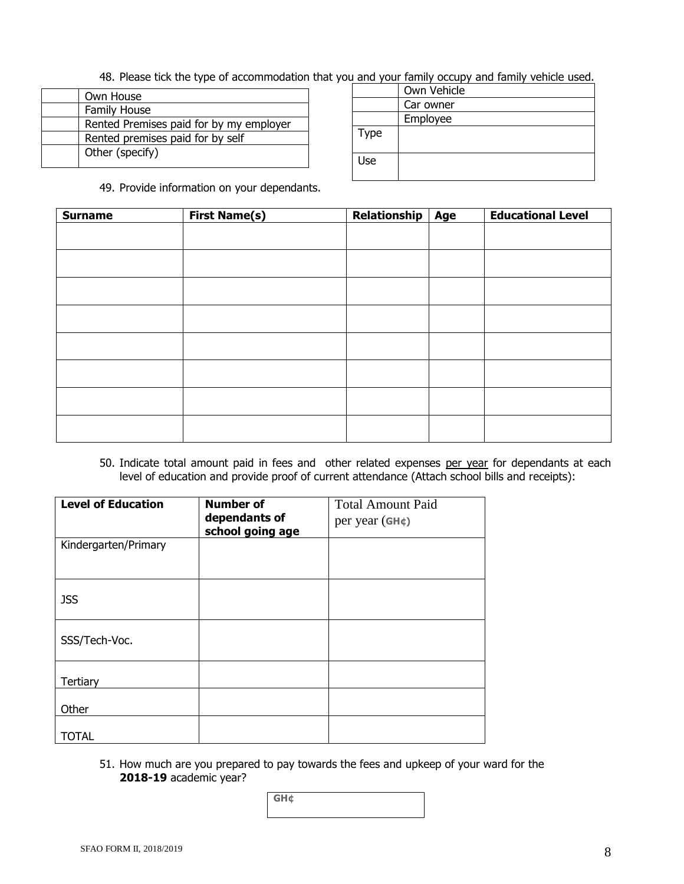48. Please tick the type of accommodation that you and your family occupy and family vehicle used.

| Own House                               |
|-----------------------------------------|
| <b>Family House</b>                     |
| Rented Premises paid for by my employer |
| Rented premises paid for by self        |
| Other (specify)                         |
|                                         |

|      | Own Vehicle |
|------|-------------|
|      | Car owner   |
|      | Employee    |
| Type |             |
| Use  |             |

49. Provide information on your dependants.

| <b>Surname</b> | <b>First Name(s)</b> | Relationship | <b>Age</b> | <b>Educational Level</b> |
|----------------|----------------------|--------------|------------|--------------------------|
|                |                      |              |            |                          |
|                |                      |              |            |                          |
|                |                      |              |            |                          |
|                |                      |              |            |                          |
|                |                      |              |            |                          |
|                |                      |              |            |                          |
|                |                      |              |            |                          |
|                |                      |              |            |                          |
|                |                      |              |            |                          |
|                |                      |              |            |                          |

50. Indicate total amount paid in fees and other related expenses per year for dependants at each level of education and provide proof of current attendance (Attach school bills and receipts):

| <b>Level of Education</b> | <b>Number of</b><br>dependants of<br>school going age | <b>Total Amount Paid</b><br>per year (GH¢) |
|---------------------------|-------------------------------------------------------|--------------------------------------------|
| Kindergarten/Primary      |                                                       |                                            |
| <b>JSS</b>                |                                                       |                                            |
| SSS/Tech-Voc.             |                                                       |                                            |
| Tertiary                  |                                                       |                                            |
| Other                     |                                                       |                                            |
| <b>TOTAL</b>              |                                                       |                                            |

51. How much are you prepared to pay towards the fees and upkeep of your ward for the **2018-19** academic year?

| GH¢<br><b>STEA</b> |  |  |
|--------------------|--|--|
|                    |  |  |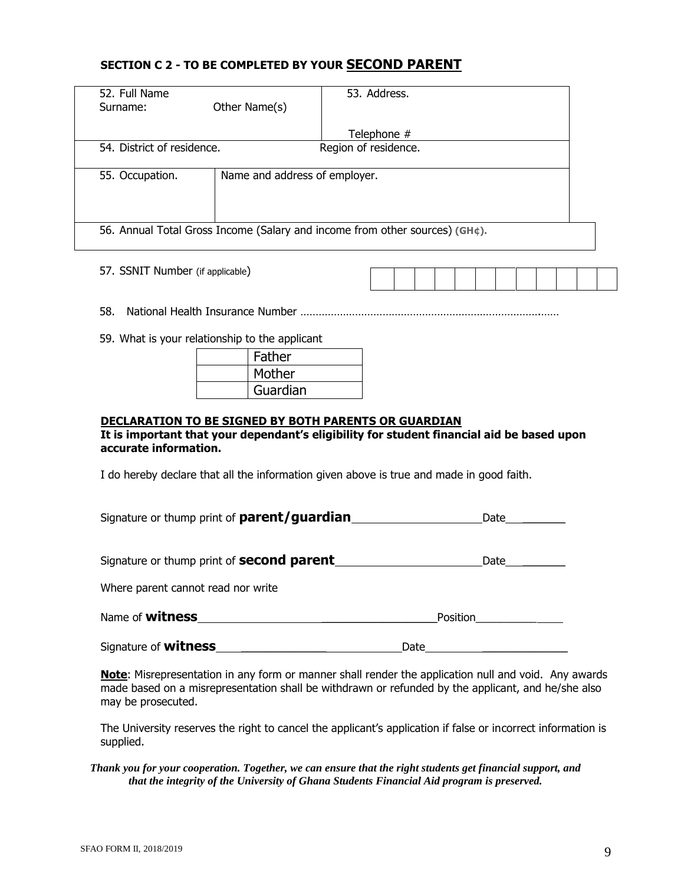#### **SECTION C 2 - TO BE COMPLETED BY YOUR SECOND PARENT**

| 52. Full Name                                                               |                               | 53. Address.         |  |  |  |
|-----------------------------------------------------------------------------|-------------------------------|----------------------|--|--|--|
| Surname:                                                                    | Other Name(s)                 |                      |  |  |  |
|                                                                             |                               |                      |  |  |  |
|                                                                             |                               | Telephone #          |  |  |  |
| 54. District of residence.                                                  |                               | Region of residence. |  |  |  |
|                                                                             |                               |                      |  |  |  |
| 55. Occupation.                                                             | Name and address of employer. |                      |  |  |  |
|                                                                             |                               |                      |  |  |  |
|                                                                             |                               |                      |  |  |  |
|                                                                             |                               |                      |  |  |  |
| 56. Annual Total Gross Income (Salary and income from other sources) (GH¢). |                               |                      |  |  |  |
|                                                                             |                               |                      |  |  |  |
|                                                                             |                               |                      |  |  |  |

57. SSNIT Number (if applicable)

- 58. National Health Insurance Number …………………………………………………………………….……
- 59. What is your relationship to the applicant

| Father   |
|----------|
| Mother   |
| Guardian |

#### **DECLARATION TO BE SIGNED BY BOTH PARENTS OR GUARDIAN**

#### **It is important that your dependant's eligibility for student financial aid be based upon accurate information.**

I do hereby declare that all the information given above is true and made in good faith.

| Signature or thump print of parent/guardian | Date |
|---------------------------------------------|------|
|                                             |      |

| Signature or thump print of <b>second parent</b> |  | Date |
|--------------------------------------------------|--|------|
|--------------------------------------------------|--|------|

Where parent cannot read nor write

| Name of <b>witness</b> | Position |
|------------------------|----------|
|                        |          |

Signature of **witness** \_\_\_\_\_\_\_\_\_\_\_\_\_\_ Date \_\_\_\_\_\_\_\_\_\_\_\_\_\_

**Note**: Misrepresentation in any form or manner shall render the application null and void. Any awards made based on a misrepresentation shall be withdrawn or refunded by the applicant, and he/she also may be prosecuted.

The University reserves the right to cancel the applicant's application if false or incorrect information is supplied.

#### *Thank you for your cooperation. Together, we can ensure that the right students get financial support, and that the integrity of the University of Ghana Students Financial Aid program is preserved.*